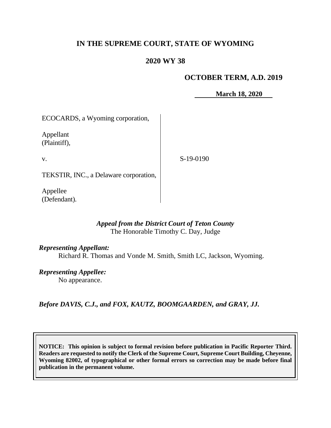## **IN THE SUPREME COURT, STATE OF WYOMING**

# **2020 WY 38**

## **OCTOBER TERM, A.D. 2019**

**March 18, 2020**

ECOCARDS, a Wyoming corporation,

Appellant (Plaintiff),

v.

S-19-0190

TEKSTIR, INC., a Delaware corporation,

Appellee (Defendant).

## *Appeal from the District Court of Teton County* The Honorable Timothy C. Day, Judge

### *Representing Appellant:*

Richard R. Thomas and Vonde M. Smith, Smith LC, Jackson, Wyoming.

*Representing Appellee:*

No appearance.

*Before DAVIS, C.J., and FOX, KAUTZ, BOOMGAARDEN, and GRAY, JJ.*

**NOTICE: This opinion is subject to formal revision before publication in Pacific Reporter Third. Readers are requested to notify the Clerk of the Supreme Court, Supreme Court Building, Cheyenne, Wyoming 82002, of typographical or other formal errors so correction may be made before final publication in the permanent volume.**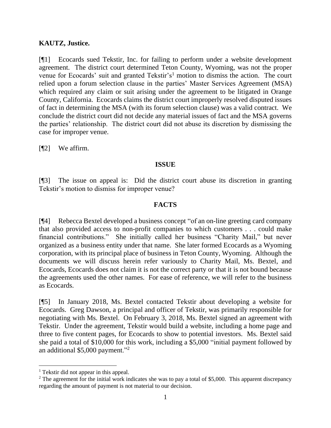#### **KAUTZ, Justice.**

[¶1] Ecocards sued Tekstir, Inc. for failing to perform under a website development agreement. The district court determined Teton County, Wyoming, was not the proper venue for Ecocards' suit and granted Tekstir's<sup>1</sup> motion to dismiss the action. The court relied upon a forum selection clause in the parties' Master Services Agreement (MSA) which required any claim or suit arising under the agreement to be litigated in Orange County, California. Ecocards claims the district court improperly resolved disputed issues of fact in determining the MSA (with its forum selection clause) was a valid contract. We conclude the district court did not decide any material issues of fact and the MSA governs the parties' relationship. The district court did not abuse its discretion by dismissing the case for improper venue.

[¶2] We affirm.

#### **ISSUE**

[¶3] The issue on appeal is: Did the district court abuse its discretion in granting Tekstir's motion to dismiss for improper venue?

### **FACTS**

[¶4] Rebecca Bextel developed a business concept "of an on-line greeting card company that also provided access to non-profit companies to which customers . . . could make financial contributions." She initially called her business "Charity Mail," but never organized as a business entity under that name. She later formed Ecocards as a Wyoming corporation, with its principal place of business in Teton County, Wyoming. Although the documents we will discuss herein refer variously to Charity Mail, Ms. Bextel, and Ecocards, Ecocards does not claim it is not the correct party or that it is not bound because the agreements used the other names. For ease of reference, we will refer to the business as Ecocards.

[¶5] In January 2018, Ms. Bextel contacted Tekstir about developing a website for Ecocards. Greg Dawson, a principal and officer of Tekstir, was primarily responsible for negotiating with Ms. Bextel. On February 3, 2018, Ms. Bextel signed an agreement with Tekstir. Under the agreement, Tekstir would build a website, including a home page and three to five content pages, for Ecocards to show to potential investors. Ms. Bextel said she paid a total of \$10,000 for this work, including a \$5,000 "initial payment followed by an additional \$5,000 payment."<sup>2</sup>

<sup>1</sup> Tekstir did not appear in this appeal.

 $2$  The agreement for the initial work indicates she was to pay a total of \$5,000. This apparent discrepancy regarding the amount of payment is not material to our decision.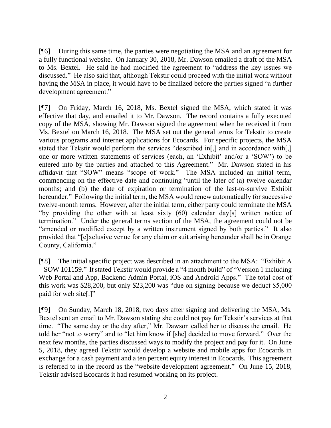[¶6] During this same time, the parties were negotiating the MSA and an agreement for a fully functional website. On January 30, 2018, Mr. Dawson emailed a draft of the MSA to Ms. Bextel. He said he had modified the agreement to "address the key issues we discussed." He also said that, although Tekstir could proceed with the initial work without having the MSA in place, it would have to be finalized before the parties signed "a further development agreement."

[¶7] On Friday, March 16, 2018, Ms. Bextel signed the MSA, which stated it was effective that day, and emailed it to Mr. Dawson. The record contains a fully executed copy of the MSA, showing Mr. Dawson signed the agreement when he received it from Ms. Bextel on March 16, 2018. The MSA set out the general terms for Tekstir to create various programs and internet applications for Ecocards. For specific projects, the MSA stated that Tekstir would perform the services "described in[,] and in accordance with[,] one or more written statements of services (each, an 'Exhibit' and/or a 'SOW') to be entered into by the parties and attached to this Agreement." Mr. Dawson stated in his affidavit that "SOW" means "scope of work." The MSA included an initial term, commencing on the effective date and continuing "until the later of (a) twelve calendar months; and (b) the date of expiration or termination of the last-to-survive Exhibit hereunder." Following the initial term, the MSA would renew automatically for successive twelve-month terms. However, after the initial term, either party could terminate the MSA "by providing the other with at least sixty (60) calendar day[s] written notice of termination." Under the general terms section of the MSA, the agreement could not be "amended or modified except by a written instrument signed by both parties." It also provided that "[e]xclusive venue for any claim or suit arising hereunder shall be in Orange County, California."

[¶8] The initial specific project was described in an attachment to the MSA: "Exhibit A – SOW 101159." It stated Tekstir would provide a "4 month build" of "Version 1 including Web Portal and App, Backend Admin Portal, iOS and Android Apps." The total cost of this work was \$28,200, but only \$23,200 was "due on signing because we deduct \$5,000 paid for web site[.]"

[¶9] On Sunday, March 18, 2018, two days after signing and delivering the MSA, Ms. Bextel sent an email to Mr. Dawson stating she could not pay for Tekstir's services at that time. "The same day or the day after," Mr. Dawson called her to discuss the email. He told her "not to worry" and to "let him know if [she] decided to move forward." Over the next few months, the parties discussed ways to modify the project and pay for it. On June 5, 2018, they agreed Tekstir would develop a website and mobile apps for Ecocards in exchange for a cash payment and a ten percent equity interest in Ecocards. This agreement is referred to in the record as the "website development agreement." On June 15, 2018, Tekstir advised Ecocards it had resumed working on its project.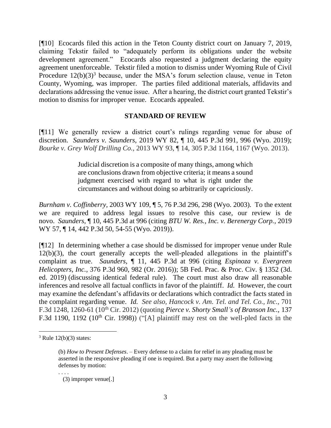[¶10] Ecocards filed this action in the Teton County district court on January 7, 2019, claiming Tekstir failed to "adequately perform its obligations under the website development agreement." Ecocards also requested a judgment declaring the equity agreement unenforceable. Tekstir filed a motion to dismiss under Wyoming Rule of Civil Procedure  $12(b)(3)^3$  because, under the MSA's forum selection clause, venue in Teton County, Wyoming, was improper. The parties filed additional materials, affidavits and declarations addressing the venue issue. After a hearing, the district court granted Tekstir's motion to dismiss for improper venue. Ecocards appealed.

#### **STANDARD OF REVIEW**

[¶11] We generally review a district court's rulings regarding venue for abuse of discretion. *Saunders v. Saunders,* 2019 WY 82, ¶ 10, 445 P.3d 991, 996 (Wyo. 2019); *Bourke v. Grey Wolf Drilling Co.,* 2013 WY 93, ¶ 14, 305 P.3d 1164, 1167 (Wyo. 2013).

> Judicial discretion is a composite of many things, among which are conclusions drawn from objective criteria; it means a sound judgment exercised with regard to what is right under the circumstances and without doing so arbitrarily or capriciously.

*Burnham v. Coffinberry,* 2003 WY 109, ¶ 5, 76 P.3d 296, 298 (Wyo. 2003). To the extent we are required to address legal issues to resolve this case, our review is de novo. *Saunders,* ¶ 10, 445 P.3d at 996 (citing *BTU W. Res., Inc. v. Berenergy Corp.,* 2019 WY 57, ¶ 14, 442 P.3d 50, 54-55 (Wyo. 2019)).

[¶12] In determining whether a case should be dismissed for improper venue under Rule 12(b)(3), the court generally accepts the well-pleaded allegations in the plaintiff's complaint as true. *Saunders,* ¶ 11, 445 P.3d at 996 (citing *Espinoza v. Evergreen Helicopters, Inc.,* 376 P.3d 960, 982 (Or. 2016)); 5B Fed. Prac. & Proc. Civ. § 1352 (3d. ed. 2019) (discussing identical federal rule). The court must also draw all reasonable inferences and resolve all factual conflicts in favor of the plaintiff. *Id.* However, the court may examine the defendant's affidavits or declarations which contradict the facts stated in the complaint regarding venue. *Id. See also, Hancock v. Am. Tel. and Tel. Co., Inc.,* 701 F.3d 1248, 1260-61 (10th Cir. 2012) (quoting *Pierce v. Shorty Small's of Branson Inc.,* 137 F.3d 1190, 1192 (10<sup>th</sup> Cir. 1998)) ("[A] plaintiff may rest on the well-pled facts in the

. . . .

 $3$  Rule 12(b)(3) states:

<sup>(</sup>b) *How to Present Defenses*. – Every defense to a claim for relief in any pleading must be asserted in the responsive pleading if one is required. But a party may assert the following defenses by motion:

 <sup>(3)</sup> improper venue[.]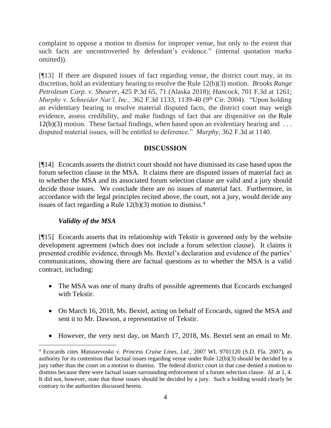complaint to oppose a motion to dismiss for improper venue, but only to the extent that such facts are uncontroverted by defendant's evidence." (internal quotation marks omitted)).

[¶13] If there are disputed issues of fact regarding venue, the district court may, in its discretion, hold an evidentiary hearing to resolve the Rule 12(b)(3) motion. *Brooks Range Petroleum Corp. v. Shearer,* 425 P.3d 65, 71 (Alaska 2018); *Hancock,* 701 F.3d at 1261; *Murphy v. Schneider Nat'l, Inc., 362 F.3d 1133, 1139-40 (9<sup>th</sup> Cir. 2004).* "Upon holding an evidentiary hearing to resolve material disputed facts, the district court may weigh evidence, assess credibility, and make findings of fact that are dispositive on the Rule  $12(b)(3)$  motion. These factual findings, when based upon an evidentiary hearing and ... disputed material issues, will be entitled to deference." *Murphy,* 362 F.3d at 1140.

### **DISCUSSION**

[¶14] Ecocards asserts the district court should not have dismissed its case based upon the forum selection clause in the MSA. It claims there are disputed issues of material fact as to whether the MSA and its associated forum selection clause are valid and a jury should decide those issues. We conclude there are no issues of material fact. Furthermore, in accordance with the legal principles recited above, the court, not a jury, would decide any issues of fact regarding a Rule  $12(b)(3)$  motion to dismiss.<sup>4</sup>

### *Validity of the MSA*

[¶15] Ecocards asserts that its relationship with Tekstir is governed only by the website development agreement (which does not include a forum selection clause). It claims it presented credible evidence, through Ms. Bextel's declaration and evidence of the parties' communications, showing there are factual questions as to whether the MSA is a valid contract, including:

- The MSA was one of many drafts of possible agreements that Ecocards exchanged with Tekstir.
- On March 16, 2018, Ms. Bextel, acting on behalf of Ecocards, signed the MSA and sent it to Mr. Dawson, a representative of Tekstir.
- However, the very next day, on March 17, 2018, Ms. Bextel sent an email to Mr.

<sup>4</sup> Ecocards cites *Matuszevoska v. Princess Cruise Lines, Ltd.,* 2007 WL 9701120 (S.D. Fla. 2007), as authority for its contention that factual issues regarding venue under Rule 12(b)(3) should be decided by a jury rather than the court on a motion to dismiss. The federal district court in that case denied a motion to dismiss because there were factual issues surrounding enforcement of a forum selection clause. *Id.* at 1, 4. It did not, however, state that those issues should be decided by a jury. Such a holding would clearly be contrary to the authorities discussed herein.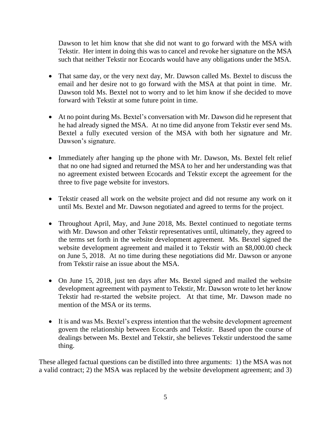Dawson to let him know that she did not want to go forward with the MSA with Tekstir. Her intent in doing this was to cancel and revoke her signature on the MSA such that neither Tekstir nor Ecocards would have any obligations under the MSA.

- That same day, or the very next day, Mr. Dawson called Ms. Bextel to discuss the email and her desire not to go forward with the MSA at that point in time. Mr. Dawson told Ms. Bextel not to worry and to let him know if she decided to move forward with Tekstir at some future point in time.
- At no point during Ms. Bextel's conversation with Mr. Dawson did he represent that he had already signed the MSA. At no time did anyone from Tekstir ever send Ms. Bextel a fully executed version of the MSA with both her signature and Mr. Dawson's signature.
- Immediately after hanging up the phone with Mr. Dawson, Ms. Bextel felt relief that no one had signed and returned the MSA to her and her understanding was that no agreement existed between Ecocards and Tekstir except the agreement for the three to five page website for investors.
- Tekstir ceased all work on the website project and did not resume any work on it until Ms. Bextel and Mr. Dawson negotiated and agreed to terms for the project.
- Throughout April, May, and June 2018, Ms. Bextel continued to negotiate terms with Mr. Dawson and other Tekstir representatives until, ultimately, they agreed to the terms set forth in the website development agreement. Ms. Bextel signed the website development agreement and mailed it to Tekstir with an \$8,000.00 check on June 5, 2018. At no time during these negotiations did Mr. Dawson or anyone from Tekstir raise an issue about the MSA.
- On June 15, 2018, just ten days after Ms. Bextel signed and mailed the website development agreement with payment to Tekstir, Mr. Dawson wrote to let her know Tekstir had re-started the website project. At that time, Mr. Dawson made no mention of the MSA or its terms.
- It is and was Ms. Bextel's express intention that the website development agreement govern the relationship between Ecocards and Tekstir. Based upon the course of dealings between Ms. Bextel and Tekstir, she believes Tekstir understood the same thing.

These alleged factual questions can be distilled into three arguments: 1) the MSA was not a valid contract; 2) the MSA was replaced by the website development agreement; and 3)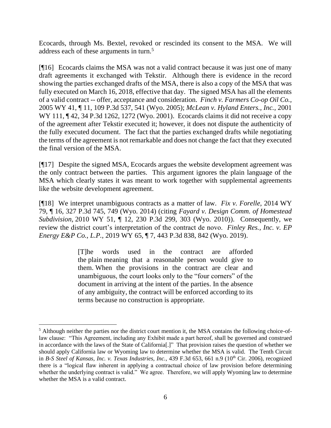Ecocards, through Ms. Bextel, revoked or rescinded its consent to the MSA. We will address each of these arguments in turn.<sup>5</sup>

[¶16] Ecocards claims the MSA was not a valid contract because it was just one of many draft agreements it exchanged with Tekstir. Although there is evidence in the record showing the parties exchanged drafts of the MSA, there is also a copy of the MSA that was fully executed on March 16, 2018, effective that day. The signed MSA has all the elements of a valid contract -- offer, acceptance and consideration. *Finch v. Farmers Co-op Oil Co.,*  2005 WY 41, ¶ 11, 109 P.3d 537, 541 (Wyo. 2005); *McLean v. Hyland Enters., Inc.,* 2001 WY 111, 142, 34 P.3d 1262, 1272 (Wyo. 2001). Ecocards claims it did not receive a copy of the agreement after Tekstir executed it; however, it does not dispute the authenticity of the fully executed document. The fact that the parties exchanged drafts while negotiating the terms of the agreement is not remarkable and does not change the fact that they executed the final version of the MSA.

[¶17] Despite the signed MSA, Ecocards argues the website development agreement was the only contract between the parties. This argument ignores the plain language of the MSA which clearly states it was meant to work together with supplemental agreements like the website development agreement.

[¶18] We interpret unambiguous contracts as a matter of law. *Fix v. Forelle,* 2014 WY 79, ¶ 16, 327 P.3d 745, 749 (Wyo. 2014) (citing *Fayard v. Design Comm. of Homestead Subdivision,* 2010 WY 51, ¶ 12, 230 P.3d 299, 303 (Wyo. 2010)). Consequently, we review the district court's interpretation of the contract de novo. *Finley Res., Inc. v. EP Energy E&P Co., L.P.,* 2019 WY 65, ¶ 7, 443 P.3d 838, 842 (Wyo. 2019).

> [T]he words used in the contract are afforded the plain meaning that a reasonable person would give to them. When the provisions in the contract are clear and unambiguous, the court looks only to the "four corners" of the document in arriving at the intent of the parties. In the absence of any ambiguity, the contract will be enforced according to its terms because no construction is appropriate.

<sup>&</sup>lt;sup>5</sup> Although neither the parties nor the district court mention it, the MSA contains the following choice-oflaw clause: "This Agreement, including any Exhibit made a part hereof, shall be governed and construed in accordance with the laws of the State of California[.]" That provision raises the question of whether we should apply California law or Wyoming law to determine whether the MSA is valid. The Tenth Circuit in *B-S Steel of Kansas, Inc. v. Texas Industries, Inc.,* 439 F.3d 653, 661 n.9 (10<sup>th</sup> Cir. 2006), recognized there is a "logical flaw inherent in applying a contractual choice of law provision before determining whether the underlying contract is valid." We agree. Therefore, we will apply Wyoming law to determine whether the MSA is a valid contract.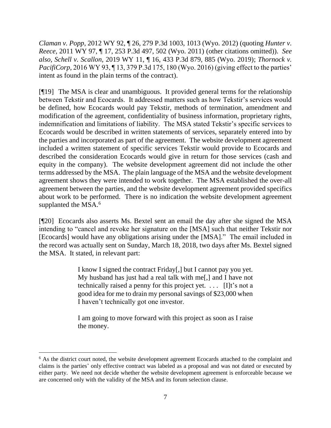*Claman v. Popp*, 2012 WY 92, ¶ 26, 279 P.3d 1003, 1013 (Wyo. 2012) (quoting *Hunter v. Reece,* 2011 WY 97, ¶ 17, 253 P.3d 497, 502 (Wyo. 2011) (other citations omitted)). *See also, Schell v. Scallon,* 2019 WY 11, ¶ 16, 433 P.3d 879, 885 (Wyo. 2019); *Thornock v. PacifiCorp*, 2016 WY 93, 13, 379 P.3d 175, 180 (Wyo. 2016) (giving effect to the parties' intent as found in the plain terms of the contract).

[¶19] The MSA is clear and unambiguous. It provided general terms for the relationship between Tekstir and Ecocards. It addressed matters such as how Tekstir's services would be defined, how Ecocards would pay Tekstir, methods of termination, amendment and modification of the agreement, confidentiality of business information, proprietary rights, indemnification and limitations of liability. The MSA stated Tekstir's specific services to Ecocards would be described in written statements of services, separately entered into by the parties and incorporated as part of the agreement. The website development agreement included a written statement of specific services Tekstir would provide to Ecocards and described the consideration Ecocards would give in return for those services (cash and equity in the company). The website development agreement did not include the other terms addressed by the MSA. The plain language of the MSA and the website development agreement shows they were intended to work together. The MSA established the over-all agreement between the parties, and the website development agreement provided specifics about work to be performed. There is no indication the website development agreement supplanted the MSA.<sup>6</sup>

[¶20] Ecocards also asserts Ms. Bextel sent an email the day after she signed the MSA intending to "cancel and revoke her signature on the [MSA] such that neither Tekstir nor [Ecocards] would have any obligations arising under the [MSA]." The email included in the record was actually sent on Sunday, March 18, 2018, two days after Ms. Bextel signed the MSA. It stated, in relevant part:

> I know I signed the contract Friday[,] but I cannot pay you yet. My husband has just had a real talk with me[,] and I have not technically raised a penny for this project yet. . . . [I]t's not a good idea for me to drain my personal savings of \$23,000 when I haven't technically got one investor.

> I am going to move forward with this project as soon as I raise the money.

<sup>&</sup>lt;sup>6</sup> As the district court noted, the website development agreement Ecocards attached to the complaint and claims is the parties' only effective contract was labeled as a proposal and was not dated or executed by either party. We need not decide whether the website development agreement is enforceable because we are concerned only with the validity of the MSA and its forum selection clause.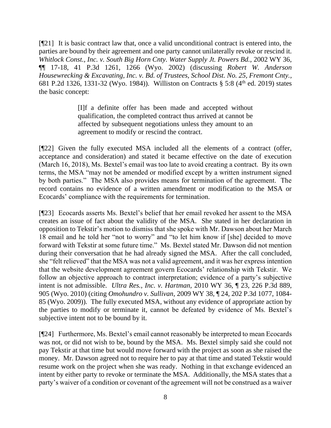[¶21] It is basic contract law that, once a valid unconditional contract is entered into, the parties are bound by their agreement and one party cannot unilaterally revoke or rescind it. *Whitlock Const., Inc. v. South Big Horn Cnty. Water Supply Jt. Powers Bd.,* 2002 WY 36, ¶¶ 17-18, 41 P.3d 1261, 1266 (Wyo. 2002) (discussing *Robert W. Anderson Housewrecking & Excavating, Inc. v. Bd. of Trustees, School Dist. No. 25, Fremont Cnty.,*  681 P.2d 1326, 1331-32 (Wyo. 1984)). Williston on Contracts § 5:8 (4th ed. 2019) states the basic concept:

> [I]f a definite offer has been made and accepted without qualification, the completed contract thus arrived at cannot be affected by subsequent negotiations unless they amount to an agreement to modify or rescind the contract.

[¶22] Given the fully executed MSA included all the elements of a contract (offer, acceptance and consideration) and stated it became effective on the date of execution (March 16, 2018), Ms. Bextel's email was too late to avoid creating a contract. By its own terms, the MSA "may not be amended or modified except by a written instrument signed by both parties." The MSA also provides means for termination of the agreement. The record contains no evidence of a written amendment or modification to the MSA or Ecocards' compliance with the requirements for termination.

[¶23] Ecocards asserts Ms. Bextel's belief that her email revoked her assent to the MSA creates an issue of fact about the validity of the MSA. She stated in her declaration in opposition to Tekstir's motion to dismiss that she spoke with Mr. Dawson about her March 18 email and he told her "not to worry" and "to let him know if [she] decided to move forward with Tekstir at some future time." Ms. Bextel stated Mr. Dawson did not mention during their conversation that he had already signed the MSA. After the call concluded, she "felt relieved" that the MSA was not a valid agreement, and it was her express intention that the website development agreement govern Ecocards' relationship with Tekstir. We follow an objective approach to contract interpretation; evidence of a party's subjective intent is not admissible. *Ultra Res., Inc. v. Hartman,* 2010 WY 36, ¶ 23, 226 P.3d 889, 905 (Wyo. 2010) (citing *Omohundro v. Sullivan,* 2009 WY 38, ¶ 24, 202 P.3d 1077, 1084- 85 (Wyo. 2009))*.* The fully executed MSA, without any evidence of appropriate action by the parties to modify or terminate it, cannot be defeated by evidence of Ms. Bextel's subjective intent not to be bound by it.

[¶24] Furthermore, Ms. Bextel's email cannot reasonably be interpreted to mean Ecocards was not, or did not wish to be, bound by the MSA. Ms. Bextel simply said she could not pay Tekstir at that time but would move forward with the project as soon as she raised the money. Mr. Dawson agreed not to require her to pay at that time and stated Tekstir would resume work on the project when she was ready. Nothing in that exchange evidenced an intent by either party to revoke or terminate the MSA. Additionally, the MSA states that a party's waiver of a condition or covenant of the agreement will not be construed as a waiver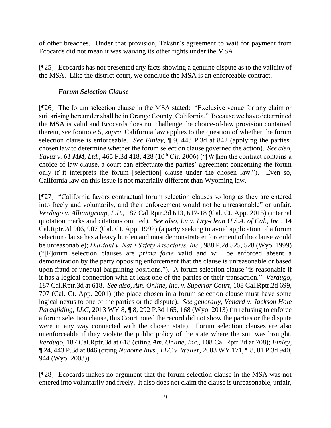of other breaches. Under that provision, Tekstir's agreement to wait for payment from Ecocards did not mean it was waiving its other rights under the MSA.

[¶25] Ecocards has not presented any facts showing a genuine dispute as to the validity of the MSA. Like the district court, we conclude the MSA is an enforceable contract.

### *Forum Selection Clause*

[¶26] The forum selection clause in the MSA stated: "Exclusive venue for any claim or suit arising hereunder shall be in Orange County, California." Because we have determined the MSA is valid and Ecocards does not challenge the choice-of-law provision contained therein, *see* footnote 5, *supra*, California law applies to the question of whether the forum selection clause is enforceable. *See Finley,* ¶ 9, 443 P.3d at 842 (applying the parties' chosen law to determine whether the forum selection clause governed the action). *See also, Yavuz v. 61 MM, Ltd.,* 465 F.3d 418, 428 (10<sup>th</sup> Cir. 2006) ("[W]hen the contract contains a choice-of-law clause, a court can effectuate the parties' agreement concerning the forum only if it interprets the forum [selection] clause under the chosen law."). Even so, California law on this issue is not materially different than Wyoming law.

[¶27] "California favors contractual forum selection clauses so long as they are entered into freely and voluntarily, and their enforcement would not be unreasonable" or unfair. *Verdugo v. Alliantgroup, L.P.,* 187 Cal.Rptr.3d 613, 617-18 (Cal. Ct. App. 2015) (internal quotation marks and citations omitted). *See also, Lu v. Dry-clean U.S.A. of Cal., Inc.,* 14 Cal.Rptr.2d 906, 907 (Cal. Ct. App. 1992) (a party seeking to avoid application of a forum selection clause has a heavy burden and must demonstrate enforcement of the clause would be unreasonable); *Durdahl v. Nat'l Safety Associates, Inc.,* 988 P.2d 525, 528 (Wyo. 1999) ("[F]orum selection clauses are *prima facie* valid and will be enforced absent a demonstration by the party opposing enforcement that the clause is unreasonable or based upon fraud or unequal bargaining positions."). A forum selection clause "is reasonable if it has a logical connection with at least one of the parties or their transaction." *Verdugo,*  187 Cal.Rptr.3d at 618. *See also, Am. Online, Inc. v. Superior Court,* 108 Cal.Rptr.2d 699, 707 (Cal. Ct. App. 2001) (the place chosen in a forum selection clause must have some logical nexus to one of the parties or the dispute). *See generally, Venard v. Jackson Hole Paragliding, LLC, 2013 WY 8, 10, 8, 292 P.3d 165, 168 (Wyo. 2013)* (in refusing to enforce a forum selection clause, this Court noted the record did not show the parties or the dispute were in any way connected with the chosen state). Forum selection clauses are also unenforceable if they violate the public policy of the state where the suit was brought. *Verdugo,* 187 Cal.Rptr.3d at 618 (citing *Am. Online, Inc.,* 108 Cal.Rptr.2d at 708); *Finley,*  ¶ 24, 443 P.3d at 846 (citing *Nuhome Invs., LLC v. Weller*, 2003 WY 171, ¶ 8, 81 P.3d 940, 944 (Wyo. 2003)).

[¶28] Ecocards makes no argument that the forum selection clause in the MSA was not entered into voluntarily and freely. It also does not claim the clause is unreasonable, unfair,